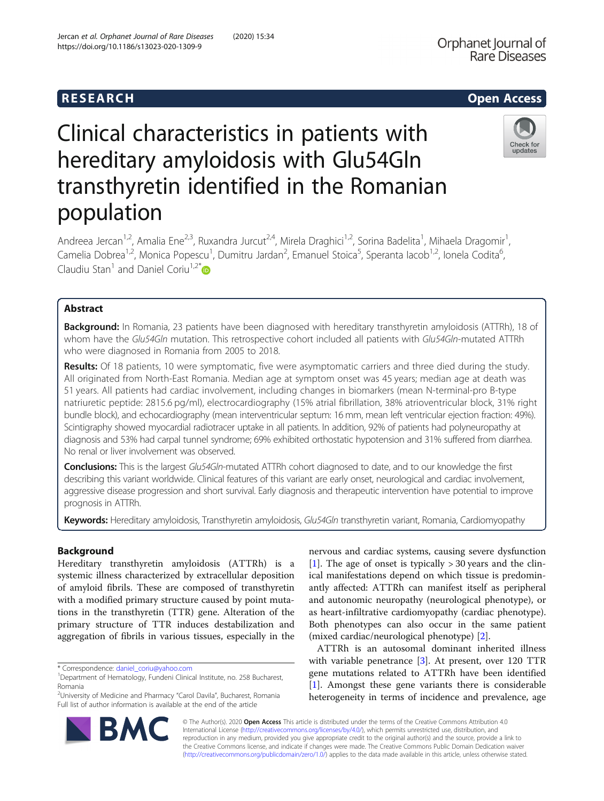# Clinical characteristics in patients with hereditary amyloidosis with Glu54Gln transthyretin identified in the Romanian population

Andreea Jercan<sup>1,2</sup>, Amalia Ene<sup>2,3</sup>, Ruxandra Jurcut<sup>2,4</sup>, Mirela Draghici<sup>1,2</sup>, Sorina Badelita<sup>1</sup>, Mihaela Dragomir<sup>1</sup> , Camelia Dobrea<sup>1,2</sup>, Monica Popescu<sup>1</sup>, Dumitru Jardan<sup>2</sup>, Emanuel Stoica<sup>5</sup>, Speranta Iacob<sup>1,2</sup>, Ionela Codita<sup>6</sup> , Claudiu Stan<sup>1</sup> and Daniel Coriu<sup>1,2\*</sup>

# Abstract

Background: In Romania, 23 patients have been diagnosed with hereditary transthyretin amyloidosis (ATTRh), 18 of whom have the Glu54Gln mutation. This retrospective cohort included all patients with Glu54Gln-mutated ATTRh who were diagnosed in Romania from 2005 to 2018.

Results: Of 18 patients, 10 were symptomatic, five were asymptomatic carriers and three died during the study. All originated from North-East Romania. Median age at symptom onset was 45 years; median age at death was 51 years. All patients had cardiac involvement, including changes in biomarkers (mean N-terminal-pro B-type natriuretic peptide: 2815.6 pg/ml), electrocardiography (15% atrial fibrillation, 38% atrioventricular block, 31% right bundle block), and echocardiography (mean interventricular septum: 16 mm, mean left ventricular ejection fraction: 49%). Scintigraphy showed myocardial radiotracer uptake in all patients. In addition, 92% of patients had polyneuropathy at diagnosis and 53% had carpal tunnel syndrome; 69% exhibited orthostatic hypotension and 31% suffered from diarrhea. No renal or liver involvement was observed.

Conclusions: This is the largest Glu54Gln-mutated ATTRh cohort diagnosed to date, and to our knowledge the first describing this variant worldwide. Clinical features of this variant are early onset, neurological and cardiac involvement, aggressive disease progression and short survival. Early diagnosis and therapeutic intervention have potential to improve prognosis in ATTRh.

Keywords: Hereditary amyloidosis, Transthyretin amyloidosis, Glu54Gln transthyretin variant, Romania, Cardiomyopathy

## Background

Hereditary transthyretin amyloidosis (ATTRh) is a systemic illness characterized by extracellular deposition of amyloid fibrils. These are composed of transthyretin with a modified primary structure caused by point mutations in the transthyretin (TTR) gene. Alteration of the primary structure of TTR induces destabilization and aggregation of fibrils in various tissues, especially in the

\* Correspondence: [daniel\\_coriu@yahoo.com](mailto:daniel_coriu@yahoo.com) <sup>1</sup>

<sup>2</sup> University of Medicine and Pharmacy "Carol Davila", Bucharest, Romania Full list of author information is available at the end of the article

nervous and cardiac systems, causing severe dysfunction [[1\]](#page-7-0). The age of onset is typically  $>$  30 years and the clinical manifestations depend on which tissue is predominantly affected: ATTRh can manifest itself as peripheral and autonomic neuropathy (neurological phenotype), or as heart-infiltrative cardiomyopathy (cardiac phenotype). Both phenotypes can also occur in the same patient (mixed cardiac/neurological phenotype) [[2\]](#page-7-0).

ATTRh is an autosomal dominant inherited illness with variable penetrance [\[3](#page-7-0)]. At present, over 120 TTR gene mutations related to ATTRh have been identified [[1\]](#page-7-0). Amongst these gene variants there is considerable heterogeneity in terms of incidence and prevalence, age

© The Author(s). 2020 Open Access This article is distributed under the terms of the Creative Commons Attribution 4.0 International License [\(http://creativecommons.org/licenses/by/4.0/](http://creativecommons.org/licenses/by/4.0/)), which permits unrestricted use, distribution, and reproduction in any medium, provided you give appropriate credit to the original author(s) and the source, provide a link to the Creative Commons license, and indicate if changes were made. The Creative Commons Public Domain Dedication waiver [\(http://creativecommons.org/publicdomain/zero/1.0/](http://creativecommons.org/publicdomain/zero/1.0/)) applies to the data made available in this article, unless otherwise stated.





<sup>&</sup>lt;sup>1</sup>Department of Hematology, Fundeni Clinical Institute, no. 258 Bucharest, Romania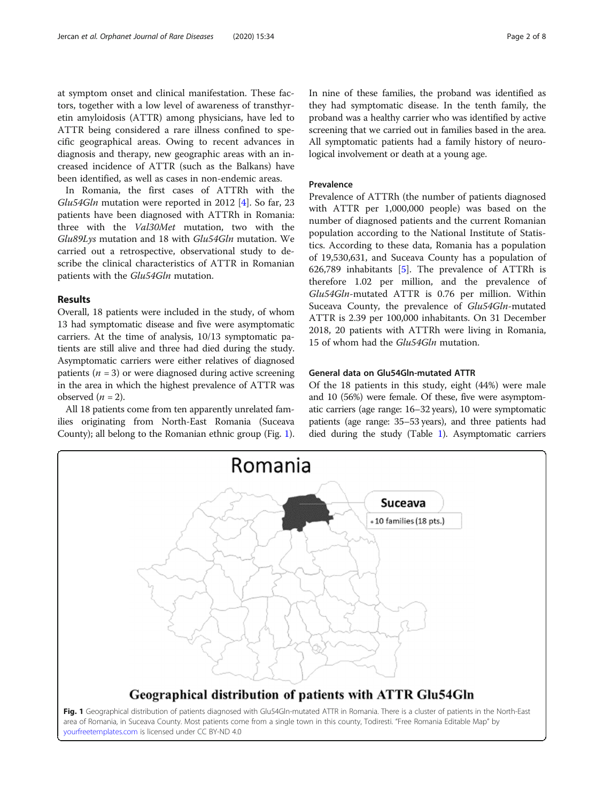at symptom onset and clinical manifestation. These factors, together with a low level of awareness of transthyretin amyloidosis (ATTR) among physicians, have led to ATTR being considered a rare illness confined to specific geographical areas. Owing to recent advances in diagnosis and therapy, new geographic areas with an increased incidence of ATTR (such as the Balkans) have been identified, as well as cases in non-endemic areas.

In Romania, the first cases of ATTRh with the Glu54Gln mutation were reported in 2012 [[4\]](#page-7-0). So far, 23 patients have been diagnosed with ATTRh in Romania: three with the Val30Met mutation, two with the Glu89Lys mutation and 18 with Glu54Gln mutation. We carried out a retrospective, observational study to describe the clinical characteristics of ATTR in Romanian patients with the Glu54Gln mutation.

## Results

Overall, 18 patients were included in the study, of whom 13 had symptomatic disease and five were asymptomatic carriers. At the time of analysis, 10/13 symptomatic patients are still alive and three had died during the study. Asymptomatic carriers were either relatives of diagnosed patients ( $n = 3$ ) or were diagnosed during active screening in the area in which the highest prevalence of ATTR was observed  $(n = 2)$ .

All 18 patients come from ten apparently unrelated families originating from North-East Romania (Suceava County); all belong to the Romanian ethnic group (Fig. 1). In nine of these families, the proband was identified as they had symptomatic disease. In the tenth family, the proband was a healthy carrier who was identified by active screening that we carried out in families based in the area. All symptomatic patients had a family history of neurological involvement or death at a young age.

## Prevalence

Prevalence of ATTRh (the number of patients diagnosed with ATTR per 1,000,000 people) was based on the number of diagnosed patients and the current Romanian population according to the National Institute of Statistics. According to these data, Romania has a population of 19,530,631, and Suceava County has a population of 626,789 inhabitants [[5\]](#page-7-0). The prevalence of ATTRh is therefore 1.02 per million, and the prevalence of Glu54Gln-mutated ATTR is 0.76 per million. Within Suceava County, the prevalence of Glu54Gln-mutated ATTR is 2.39 per 100,000 inhabitants. On 31 December 2018, 20 patients with ATTRh were living in Romania, 15 of whom had the Glu54Gln mutation.

## General data on Glu54Gln-mutated ATTR

Of the 18 patients in this study, eight (44%) were male and 10 (56%) were female. Of these, five were asymptomatic carriers (age range: 16–32 years), 10 were symptomatic patients (age range: 35–53 years), and three patients had died during the study (Table [1\)](#page-2-0). Asymptomatic carriers



Fig. 1 Geographical distribution of patients diagnosed with Glu54Gln-mutated ATTR in Romania. There is a cluster of patients in the North-East area of Romania, in Suceava County. Most patients come from a single town in this county, Todiresti. "Free Romania Editable Map" by [yourfreetemplates.com](http://yourfreetemplates.com) is licensed under CC BY-ND 4.0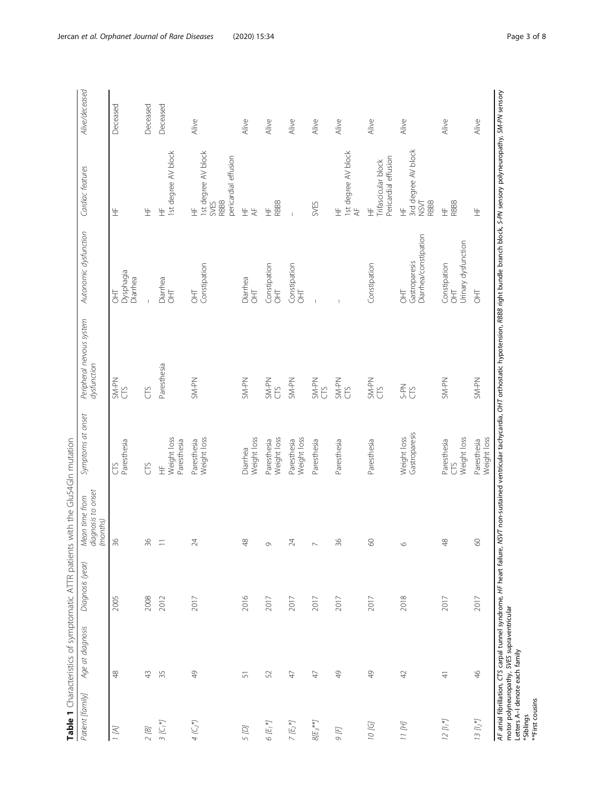|                                                                       | Table 1 Characteristics of symptomatic ATTR patients |                  | with the Glu54GIn mutation                       |                                  |                                                                                                                                                                                                                           |                                              |                                                                         |                |
|-----------------------------------------------------------------------|------------------------------------------------------|------------------|--------------------------------------------------|----------------------------------|---------------------------------------------------------------------------------------------------------------------------------------------------------------------------------------------------------------------------|----------------------------------------------|-------------------------------------------------------------------------|----------------|
| Patient [family]                                                      | Age at diagnosis                                     | Diagnosis (year) | Mean time from<br>diagnosis to onset<br>(months) | Symptoms at onset                | Peripheral nervous system<br>dysfunction                                                                                                                                                                                  | Autonomic dysfunction                        | Cardiac features                                                        | Alive/deceased |
| 1(A)                                                                  | $\frac{8}{4}$                                        | 2005             | 36                                               | Paresthesia<br>US                | SM-PN<br>CTS                                                                                                                                                                                                              | Dysphagia<br>Diarrhea<br>HD                  | 生                                                                       | Deceased       |
| $2$ $\left[\mathcal{B}\right]$                                        | $43$                                                 | 2008             | 36                                               | E                                | CTS                                                                                                                                                                                                                       |                                              | 生                                                                       | Deceased       |
| $\mathcal{I}\left(\mathbb{C},\mathbb{M}\right)$                       | 35                                                   | 2012             | Ξ                                                | Weight loss<br>Paresthesia<br>生  | Paresthesia                                                                                                                                                                                                               | Diarrhea<br>$\frac{1}{2}$                    | 1st degree AV block<br>生                                                | Deceased       |
| $4$ $(\subset_2^*)$                                                   | $\frac{1}{4}$                                        | 2017             | $\approx$                                        | Weight loss<br>Paresthesia       | SM-PN                                                                                                                                                                                                                     | Constipation<br>HT                           | 1st degree AV block<br>pericardial effusion<br><b>RBBB</b><br>SVES<br>生 | Alive          |
| 5 (D)                                                                 | 51                                                   | 2016             | ₹                                                | Weight loss<br>Diarrhea          | SM-PN                                                                                                                                                                                                                     | Diarrhea<br>HD                               | 生<br>$\overline{\mathcal{A}}$                                           | Alive          |
| $6E_i$                                                                | 52                                                   | 2017             | $\circ$                                          | Weight loss<br>Paresthesia       | SM-PN<br>CTS                                                                                                                                                                                                              | Constipation<br>OHT                          | RBBB<br>$\pm$                                                           | Alive          |
| $\mathcal{I}\left(\mathbb{E}_{2}^{*}\right)$                          | 47                                                   | 2017             | $\geq$                                           | Weight loss<br>Paresthesia       | SM-PN                                                                                                                                                                                                                     | Constipation<br>HT                           |                                                                         | Alive          |
| $8/E_3**$                                                             | $47$                                                 | 2017             | $\sim$                                           | Paresthesia                      | SM-PN<br>CTS                                                                                                                                                                                                              |                                              | SVES                                                                    | Alive          |
| $9F$                                                                  | $\frac{1}{4}$                                        | 2017             | $\frac{8}{6}$                                    | Paresthesia                      | SM-PN<br>CTS                                                                                                                                                                                                              |                                              | 1st degree AV block<br>AF<br>生                                          | Alive          |
| 10 [G]                                                                | $\frac{9}{4}$                                        | 2017             | $\delta$                                         | Paresthesia                      | SM-PN<br>CTS                                                                                                                                                                                                              | Constipation                                 | Pericardial effusion<br>Trifascicular block<br>$\pm$                    | Alive          |
| $11~\rm{fH}$                                                          | $42\,$                                               | 2018             | $\circ$                                          | Gastroparesis<br>Weight loss     | S-PN<br>CTS                                                                                                                                                                                                               | Diarrhea/constipation<br>Gastroparesis<br>HT | 3rd degree AV block<br>NSVT<br>RBBB<br>生                                | Alive          |
| $12 [l_1*]$                                                           | $\overline{4}$                                       | 2017             | 48                                               | Weight loss<br>Paresthesia<br>CS | SM-PN                                                                                                                                                                                                                     | Urinary dysfunction<br>Constipation<br>HT    | RBBB<br>뚶                                                               | Alive          |
| $13~\mathit{Hz}^*$                                                    | 46                                                   | 2017             | $\delta$                                         | Weight loss<br>Paresthesia       | SM-PN                                                                                                                                                                                                                     | HT                                           | 生                                                                       | Alive          |
| Letters A-I denote each family<br><b>**First cousins</b><br>*Siblings | motor polyneuropathy, SVES supraventricular          |                  |                                                  |                                  | AF atrial fibrillation, CTS carpal tunnel syndrome, HF heart failure, NSVT non-sustained ventricular tachycardia, OHT orthostatic hypotension, RBBB right bundle branch block, S-PN sensory polyneuropathy, SM-PN sensory |                                              |                                                                         |                |

<span id="page-2-0"></span>Jercan et al. Orphanet Journal of Rare Diseases (2020) 15:34 extending the state of the Page 3 of 8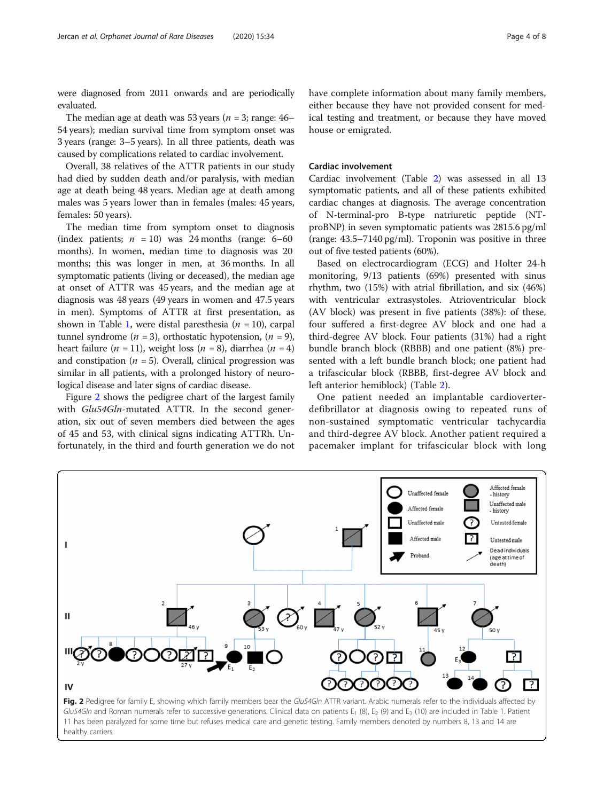were diagnosed from 2011 onwards and are periodically evaluated.

The median age at death was 53 years ( $n = 3$ ; range: 46– 54 years); median survival time from symptom onset was 3 years (range: 3–5 years). In all three patients, death was caused by complications related to cardiac involvement.

Overall, 38 relatives of the ATTR patients in our study had died by sudden death and/or paralysis, with median age at death being 48 years. Median age at death among males was 5 years lower than in females (males: 45 years, females: 50 years).

The median time from symptom onset to diagnosis (index patients;  $n = 10$ ) was 24 months (range: 6–60) months). In women, median time to diagnosis was 20 months; this was longer in men, at 36 months. In all symptomatic patients (living or deceased), the median age at onset of ATTR was 45 years, and the median age at diagnosis was 48 years (49 years in women and 47.5 years in men). Symptoms of ATTR at first presentation, as shown in Table [1](#page-2-0), were distal paresthesia ( $n = 10$ ), carpal tunnel syndrome ( $n = 3$ ), orthostatic hypotension, ( $n = 9$ ), heart failure (*n* = 11), weight loss (*n* = 8), diarrhea (*n* = 4) and constipation ( $n = 5$ ). Overall, clinical progression was similar in all patients, with a prolonged history of neurological disease and later signs of cardiac disease.

Figure 2 shows the pedigree chart of the largest family with Glu54Gln-mutated ATTR. In the second generation, six out of seven members died between the ages of 45 and 53, with clinical signs indicating ATTRh. Unfortunately, in the third and fourth generation we do not have complete information about many family members, either because they have not provided consent for medical testing and treatment, or because they have moved house or emigrated.

### Cardiac involvement

Cardiac involvement (Table [2](#page-4-0)) was assessed in all 13 symptomatic patients, and all of these patients exhibited cardiac changes at diagnosis. The average concentration of N-terminal-pro B-type natriuretic peptide (NTproBNP) in seven symptomatic patients was 2815.6 pg/ml (range: 43.5–7140 pg/ml). Troponin was positive in three out of five tested patients (60%).

Based on electrocardiogram (ECG) and Holter 24-h monitoring, 9/13 patients (69%) presented with sinus rhythm, two (15%) with atrial fibrillation, and six (46%) with ventricular extrasystoles. Atrioventricular block (AV block) was present in five patients (38%): of these, four suffered a first-degree AV block and one had a third-degree AV block. Four patients (31%) had a right bundle branch block (RBBB) and one patient (8%) presented with a left bundle branch block; one patient had a trifascicular block (RBBB, first-degree AV block and left anterior hemiblock) (Table [2\)](#page-4-0).

One patient needed an implantable cardioverterdefibrillator at diagnosis owing to repeated runs of non-sustained symptomatic ventricular tachycardia and third-degree AV block. Another patient required a pacemaker implant for trifascicular block with long

Affected female

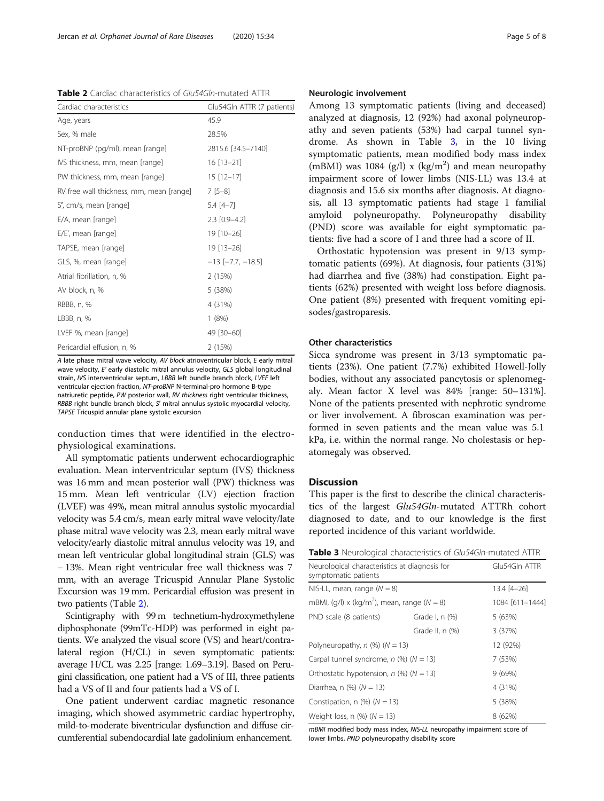<span id="page-4-0"></span>Table 2 Cardiac characteristics of Glu54Gln-mutated ATTR

| Cardiac characteristics                  | Glu54Gln ATTR (7 patients) |
|------------------------------------------|----------------------------|
| Age, years                               | 45.9                       |
| Sex, % male                              | 28.5%                      |
| NT-proBNP (pg/ml), mean [range]          | 2815.6 [34.5-7140]         |
| IVS thickness, mm, mean [range]          | $16$ [13-21]               |
| PW thickness, mm, mean [range]           | $15$ [12-17]               |
| RV free wall thickness, mm, mean [range] | $7[5-8]$                   |
| S', cm/s, mean [range]                   | $5.4[4-7]$                 |
| E/A, mean [range]                        | $2.3$ [0.9-4.2]            |
| E/E', mean [range]                       | 19 [10-26]                 |
| TAPSE, mean [range]                      | 19 [13-26]                 |
| GLS, %, mean [range]                     | $-13$ [ $-7.7$ , $-18.5$ ] |
| Atrial fibrillation, n, %                | 2(15%)                     |
| AV block, n, %                           | 5 (38%)                    |
| RBBB, n, %                               | 4 (31%)                    |
| LBBB, n, %                               | 1(8%)                      |
| LVEF %, mean [range]                     | 49 [30-60]                 |
| Pericardial effusion, n, %               | 2 (15%)                    |

A late phase mitral wave velocity, AV block atrioventricular block, E early mitral wave velocity, E' early diastolic mitral annulus velocity, GLS global longitudinal strain, IVS interventricular septum, LBBB left bundle branch block, LVEF left ventricular ejection fraction, NT-proBNP N-terminal-pro hormone B-type natriuretic peptide, PW posterior wall, RV thickness right ventricular thickness, RBBB right bundle branch block, S′ mitral annulus systolic myocardial velocity, TAPSE Tricuspid annular plane systolic excursion

conduction times that were identified in the electrophysiological examinations.

All symptomatic patients underwent echocardiographic evaluation. Mean interventricular septum (IVS) thickness was 16 mm and mean posterior wall (PW) thickness was 15 mm. Mean left ventricular (LV) ejection fraction (LVEF) was 49%, mean mitral annulus systolic myocardial velocity was 5.4 cm/s, mean early mitral wave velocity/late phase mitral wave velocity was 2.3, mean early mitral wave velocity/early diastolic mitral annulus velocity was 19, and mean left ventricular global longitudinal strain (GLS) was − 13%. Mean right ventricular free wall thickness was 7 mm, with an average Tricuspid Annular Plane Systolic Excursion was 19 mm. Pericardial effusion was present in two patients (Table 2).

Scintigraphy with 99 m technetium-hydroxymethylene diphosphonate (99mTc-HDP) was performed in eight patients. We analyzed the visual score (VS) and heart/contralateral region (H/CL) in seven symptomatic patients: average H/CL was 2.25 [range: 1.69–3.19]. Based on Perugini classification, one patient had a VS of III, three patients had a VS of II and four patients had a VS of I.

One patient underwent cardiac magnetic resonance imaging, which showed asymmetric cardiac hypertrophy, mild-to-moderate biventricular dysfunction and diffuse circumferential subendocardial late gadolinium enhancement.

#### Neurologic involvement

Among 13 symptomatic patients (living and deceased) analyzed at diagnosis, 12 (92%) had axonal polyneuropathy and seven patients (53%) had carpal tunnel syndrome. As shown in Table 3, in the 10 living symptomatic patients, mean modified body mass index (mBMI) was 1084 (g/l) x (kg/m<sup>2</sup>) and mean neuropathy impairment score of lower limbs (NIS-LL) was 13.4 at diagnosis and 15.6 six months after diagnosis. At diagnosis, all 13 symptomatic patients had stage 1 familial amyloid polyneuropathy. Polyneuropathy disability (PND) score was available for eight symptomatic patients: five had a score of I and three had a score of II.

Orthostatic hypotension was present in 9/13 symptomatic patients (69%). At diagnosis, four patients (31%) had diarrhea and five (38%) had constipation. Eight patients (62%) presented with weight loss before diagnosis. One patient (8%) presented with frequent vomiting episodes/gastroparesis.

## Other characteristics

Sicca syndrome was present in 3/13 symptomatic patients (23%). One patient (7.7%) exhibited Howell-Jolly bodies, without any associated pancytosis or splenomegaly. Mean factor X level was 84% [range: 50–131%]. None of the patients presented with nephrotic syndrome or liver involvement. A fibroscan examination was performed in seven patients and the mean value was 5.1 kPa, i.e. within the normal range. No cholestasis or hepatomegaly was observed.

### **Discussion**

This paper is the first to describe the clinical characteristics of the largest Glu54Gln-mutated ATTRh cohort diagnosed to date, and to our knowledge is the first reported incidence of this variant worldwide.

| <b>Table 3</b> Neurological characteristics of Glu54Gln-mutated ATTR |  |
|----------------------------------------------------------------------|--|
|----------------------------------------------------------------------|--|

| Neurological characteristics at diagnosis for<br>symptomatic patients |                 | Glu54Gln ATTR   |
|-----------------------------------------------------------------------|-----------------|-----------------|
| NIS-LL, mean, range $(N = 8)$                                         |                 | 13.4 [4-26]     |
| mBMI, $(q/l) \times (kq/m^2)$ , mean, range $(N = 8)$                 |                 | 1084 [611-1444] |
| PND scale (8 patients)                                                | Grade I, n (%)  | 5 (63%)         |
|                                                                       | Grade II, n (%) | 3 (37%)         |
| Polyneuropathy, $n$ (%) ( $N = 13$ )                                  |                 | 12 (92%)        |
| Carpal tunnel syndrome, $n$ (%) ( $N = 13$ )                          |                 | 7 (53%)         |
| Orthostatic hypotension, $n$ (%) ( $N = 13$ )                         |                 | 9(69%)          |
| Diarrhea, n $(\%)$ ( $N = 13$ )                                       |                 | 4 (31%)         |
| Constipation, $n$ (%) ( $N = 13$ )                                    |                 | 5 (38%)         |
| Weight loss, n $(\%)$ $(N = 13)$                                      |                 | 8 (62%)         |

mBMI modified body mass index, NIS-LL neuropathy impairment score of lower limbs, PND polyneuropathy disability score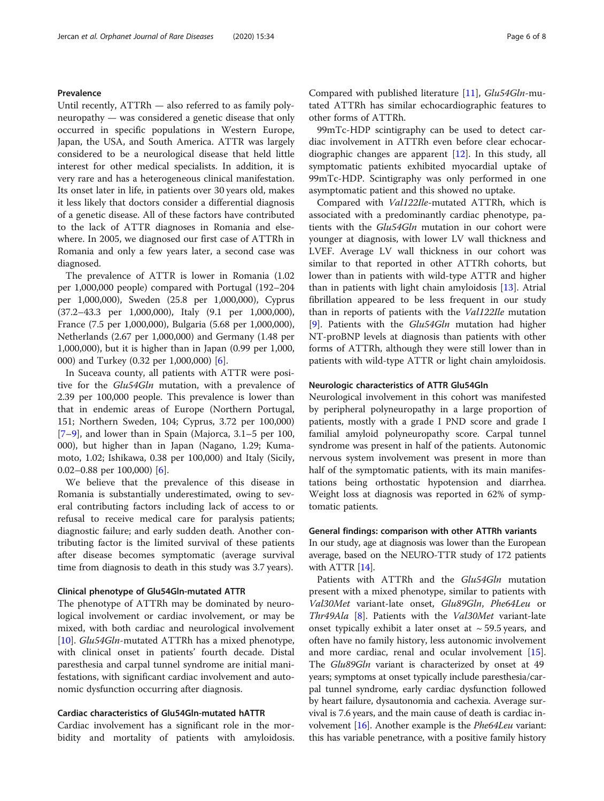## Prevalence

Until recently, ATTRh — also referred to as family polyneuropathy — was considered a genetic disease that only occurred in specific populations in Western Europe, Japan, the USA, and South America. ATTR was largely considered to be a neurological disease that held little interest for other medical specialists. In addition, it is very rare and has a heterogeneous clinical manifestation. Its onset later in life, in patients over 30 years old, makes it less likely that doctors consider a differential diagnosis of a genetic disease. All of these factors have contributed to the lack of ATTR diagnoses in Romania and elsewhere. In 2005, we diagnosed our first case of ATTRh in Romania and only a few years later, a second case was diagnosed.

The prevalence of ATTR is lower in Romania (1.02 per 1,000,000 people) compared with Portugal (192–204 per 1,000,000), Sweden (25.8 per 1,000,000), Cyprus (37.2–43.3 per 1,000,000), Italy (9.1 per 1,000,000), France (7.5 per 1,000,000), Bulgaria (5.68 per 1,000,000), Netherlands (2.67 per 1,000,000) and Germany (1.48 per 1,000,000), but it is higher than in Japan (0.99 per 1,000, 000) and Turkey (0.32 per 1,000,000) [[6\]](#page-7-0).

In Suceava county, all patients with ATTR were positive for the Glu54Gln mutation, with a prevalence of 2.39 per 100,000 people. This prevalence is lower than that in endemic areas of Europe (Northern Portugal, 151; Northern Sweden, 104; Cyprus, 3.72 per 100,000) [[7](#page-7-0)–[9\]](#page-7-0), and lower than in Spain (Majorca, 3.1–5 per 100, 000), but higher than in Japan (Nagano, 1.29; Kumamoto, 1.02; Ishikawa, 0.38 per 100,000) and Italy (Sicily, 0.02–0.88 per 100,000) [\[6](#page-7-0)].

We believe that the prevalence of this disease in Romania is substantially underestimated, owing to several contributing factors including lack of access to or refusal to receive medical care for paralysis patients; diagnostic failure; and early sudden death. Another contributing factor is the limited survival of these patients after disease becomes symptomatic (average survival time from diagnosis to death in this study was 3.7 years).

## Clinical phenotype of Glu54Gln-mutated ATTR

The phenotype of ATTRh may be dominated by neurological involvement or cardiac involvement, or may be mixed, with both cardiac and neurological involvement [[10\]](#page-7-0). *Glu54Gln*-mutated ATTRh has a mixed phenotype, with clinical onset in patients' fourth decade. Distal paresthesia and carpal tunnel syndrome are initial manifestations, with significant cardiac involvement and autonomic dysfunction occurring after diagnosis.

## Cardiac characteristics of Glu54Gln-mutated hATTR

Cardiac involvement has a significant role in the morbidity and mortality of patients with amyloidosis.

Compared with published literature [\[11\]](#page-7-0), Glu54Gln-mutated ATTRh has similar echocardiographic features to other forms of ATTRh.

99mTc-HDP scintigraphy can be used to detect cardiac involvement in ATTRh even before clear echocardiographic changes are apparent  $[12]$ . In this study, all symptomatic patients exhibited myocardial uptake of 99mTc-HDP. Scintigraphy was only performed in one asymptomatic patient and this showed no uptake.

Compared with Val122Ile-mutated ATTRh, which is associated with a predominantly cardiac phenotype, patients with the Glu54Gln mutation in our cohort were younger at diagnosis, with lower LV wall thickness and LVEF. Average LV wall thickness in our cohort was similar to that reported in other ATTRh cohorts, but lower than in patients with wild-type ATTR and higher than in patients with light chain amyloidosis [[13](#page-7-0)]. Atrial fibrillation appeared to be less frequent in our study than in reports of patients with the Val122Ile mutation [[9\]](#page-7-0). Patients with the *Glu54Gln* mutation had higher NT-proBNP levels at diagnosis than patients with other forms of ATTRh, although they were still lower than in patients with wild-type ATTR or light chain amyloidosis.

#### Neurologic characteristics of ATTR Glu54Gln

Neurological involvement in this cohort was manifested by peripheral polyneuropathy in a large proportion of patients, mostly with a grade I PND score and grade I familial amyloid polyneuropathy score. Carpal tunnel syndrome was present in half of the patients. Autonomic nervous system involvement was present in more than half of the symptomatic patients, with its main manifestations being orthostatic hypotension and diarrhea. Weight loss at diagnosis was reported in 62% of symptomatic patients.

### General findings: comparison with other ATTRh variants

In our study, age at diagnosis was lower than the European average, based on the NEURO-TTR study of 172 patients with  $ATTR [14]$  $ATTR [14]$ .

Patients with ATTRh and the Glu54Gln mutation present with a mixed phenotype, similar to patients with Val30Met variant-late onset, Glu89Gln, Phe64Leu or Thr49Ala [[8](#page-7-0)]. Patients with the Val30Met variant-late onset typically exhibit a later onset at  $\sim$  59.5 years, and often have no family history, less autonomic involvement and more cardiac, renal and ocular involvement  $[15]$  $[15]$ . The *Glu89Gln* variant is characterized by onset at 49 years; symptoms at onset typically include paresthesia/carpal tunnel syndrome, early cardiac dysfunction followed by heart failure, dysautonomia and cachexia. Average survival is 7.6 years, and the main cause of death is cardiac involvement  $[16]$ . Another example is the *Phe64Leu* variant: this has variable penetrance, with a positive family history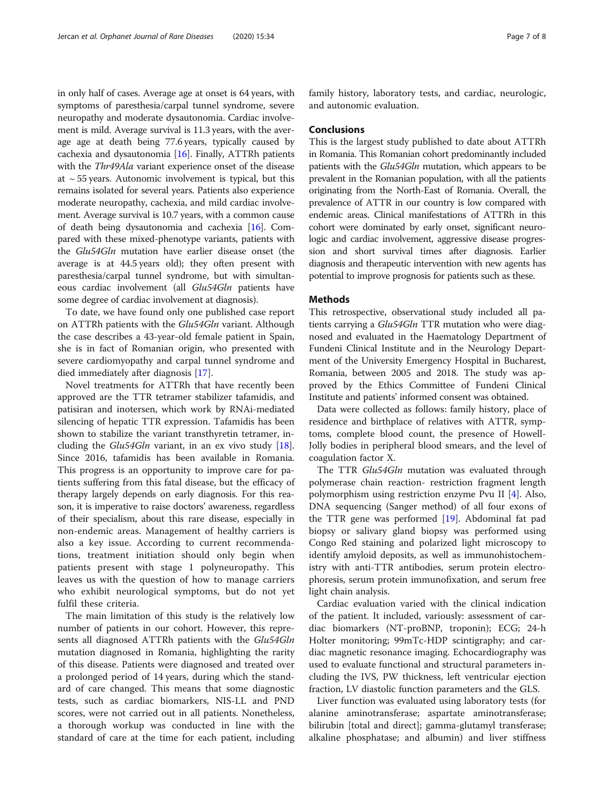in only half of cases. Average age at onset is 64 years, with symptoms of paresthesia/carpal tunnel syndrome, severe neuropathy and moderate dysautonomia. Cardiac involvement is mild. Average survival is 11.3 years, with the average age at death being 77.6 years, typically caused by cachexia and dysautonomia [[16](#page-7-0)]. Finally, ATTRh patients with the Thr49Ala variant experience onset of the disease at  $\sim$  55 years. Autonomic involvement is typical, but this remains isolated for several years. Patients also experience moderate neuropathy, cachexia, and mild cardiac involvement. Average survival is 10.7 years, with a common cause of death being dysautonomia and cachexia [\[16\]](#page-7-0). Compared with these mixed-phenotype variants, patients with the Glu54Gln mutation have earlier disease onset (the average is at 44.5 years old); they often present with paresthesia/carpal tunnel syndrome, but with simultaneous cardiac involvement (all Glu54Gln patients have some degree of cardiac involvement at diagnosis).

To date, we have found only one published case report on ATTRh patients with the Glu54Gln variant. Although the case describes a 43-year-old female patient in Spain, she is in fact of Romanian origin, who presented with severe cardiomyopathy and carpal tunnel syndrome and died immediately after diagnosis [\[17\]](#page-7-0).

Novel treatments for ATTRh that have recently been approved are the TTR tetramer stabilizer tafamidis, and patisiran and inotersen, which work by RNAi-mediated silencing of hepatic TTR expression. Tafamidis has been shown to stabilize the variant transthyretin tetramer, including the Glu54Gln variant, in an ex vivo study [\[18](#page-7-0)]. Since 2016, tafamidis has been available in Romania. This progress is an opportunity to improve care for patients suffering from this fatal disease, but the efficacy of therapy largely depends on early diagnosis. For this reason, it is imperative to raise doctors' awareness, regardless of their specialism, about this rare disease, especially in non-endemic areas. Management of healthy carriers is also a key issue. According to current recommendations, treatment initiation should only begin when patients present with stage 1 polyneuropathy. This leaves us with the question of how to manage carriers who exhibit neurological symptoms, but do not yet fulfil these criteria.

The main limitation of this study is the relatively low number of patients in our cohort. However, this represents all diagnosed ATTRh patients with the Glu54Gln mutation diagnosed in Romania, highlighting the rarity of this disease. Patients were diagnosed and treated over a prolonged period of 14 years, during which the standard of care changed. This means that some diagnostic tests, such as cardiac biomarkers, NIS-LL and PND scores, were not carried out in all patients. Nonetheless, a thorough workup was conducted in line with the standard of care at the time for each patient, including family history, laboratory tests, and cardiac, neurologic, and autonomic evaluation.

## Conclusions

This is the largest study published to date about ATTRh in Romania. This Romanian cohort predominantly included patients with the Glu54Gln mutation, which appears to be prevalent in the Romanian population, with all the patients originating from the North-East of Romania. Overall, the prevalence of ATTR in our country is low compared with endemic areas. Clinical manifestations of ATTRh in this cohort were dominated by early onset, significant neurologic and cardiac involvement, aggressive disease progression and short survival times after diagnosis. Earlier diagnosis and therapeutic intervention with new agents has potential to improve prognosis for patients such as these.

### **Methods**

This retrospective, observational study included all patients carrying a Glu54Gln TTR mutation who were diagnosed and evaluated in the Haematology Department of Fundeni Clinical Institute and in the Neurology Department of the University Emergency Hospital in Bucharest, Romania, between 2005 and 2018. The study was approved by the Ethics Committee of Fundeni Clinical Institute and patients' informed consent was obtained.

Data were collected as follows: family history, place of residence and birthplace of relatives with ATTR, symptoms, complete blood count, the presence of Howell-Jolly bodies in peripheral blood smears, and the level of coagulation factor X.

The TTR Glu54Gln mutation was evaluated through polymerase chain reaction- restriction fragment length polymorphism using restriction enzyme Pvu II [\[4](#page-7-0)]. Also, DNA sequencing (Sanger method) of all four exons of the TTR gene was performed [\[19\]](#page-7-0). Abdominal fat pad biopsy or salivary gland biopsy was performed using Congo Red staining and polarized light microscopy to identify amyloid deposits, as well as immunohistochemistry with anti-TTR antibodies, serum protein electrophoresis, serum protein immunofixation, and serum free light chain analysis.

Cardiac evaluation varied with the clinical indication of the patient. It included, variously: assessment of cardiac biomarkers (NT-proBNP, troponin); ECG; 24-h Holter monitoring; 99mTc-HDP scintigraphy; and cardiac magnetic resonance imaging. Echocardiography was used to evaluate functional and structural parameters including the IVS, PW thickness, left ventricular ejection fraction, LV diastolic function parameters and the GLS.

Liver function was evaluated using laboratory tests (for alanine aminotransferase; aspartate aminotransferase; bilirubin [total and direct]; gamma-glutamyl transferase; alkaline phosphatase; and albumin) and liver stiffness